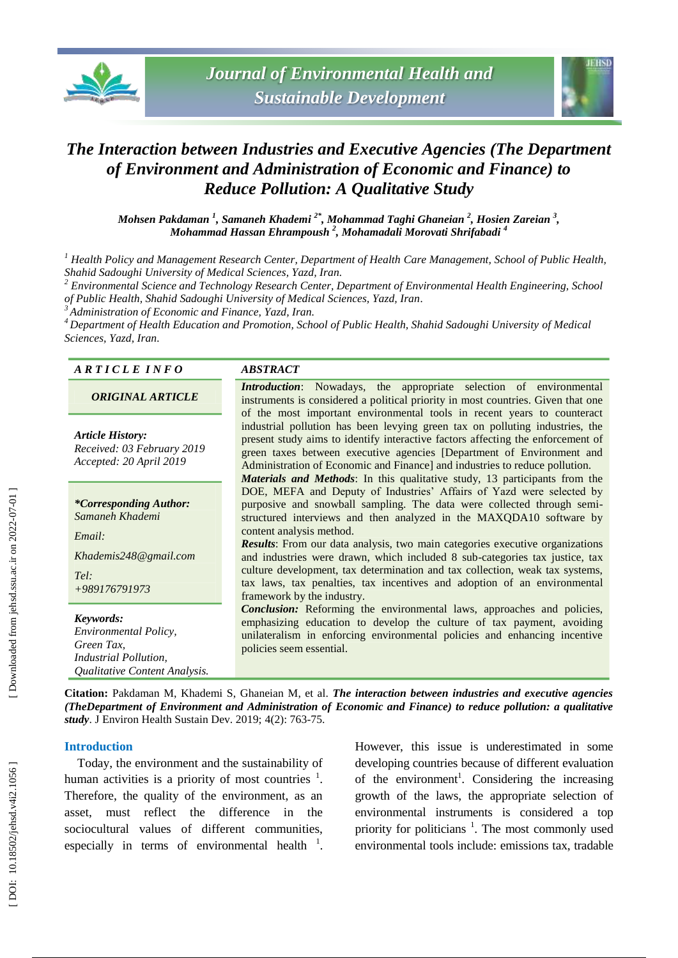



# **The Interaction between Industries and Executive Agencies (The Department** *of Environment and Administration of Economic and Finance) to Reduce Pollution: A Qualitative Study*

*Mohsen Pakdaman 1 , Samaneh Khademi 2 \*, Mohammad Taghi Ghaneian 2 , Hosien Zareian 3 , Mohammad Ha ssan Ehrampoush 2 , Mohamadali Morovati Shrifabadi 4*

*<sup>1</sup> Health Policy and Management Research Center, Department of Health Care Management, School of Public Health, Shahid Sadoughi University of Medical Sciences, Yazd, Iran .*

*<sup>2</sup> Environmental Science and Technology Research Center, Department of Environmental Health Engineering, School of Public Health, Shahid Sadoughi University of Medical Sciences, Yazd, Iran .*

*<sup>3</sup> Administration of Economic and Finance, Yazd, Iran .*

*<sup>4</sup> Department of Health Education and Promotion, School of Public Health, Shahid Sadoughi University of Medical Sciences, Yazd, Iran .*

#### *A R T I C L E I N F O ABSTRACT*

*ORIGINAL ARTICLE*

*Article History: Received: 03 February 201 9 Accepted: 20 April 201 9*

*\*Corresponding Author: Samaneh Khademi*

*Email:*

*Khademis248@gmail.com*

*Tel: +989176791973*

*Keywords: Environmental Policy, Green Tax, Industrial Pollution, Qualitative Content Analysis.*

*Introduction* : Nowadays, the appropriate selection of environmental instruments is considered a political priority in most countries. Given that one of the most important environmental tools in recent years to counteract industrial pollution has been levying green tax on polluting industries, the present study aims to identify interactive factors affecting the enforcement of green taxes between executive agencies [Department of Environment and Administration of Economic and Finance] and industries to reduce pollution. *Materials and Methods*: In this qualitative study, 13 participants from the DOE, MEFA and Deputy of Industries' Affairs of Yazd were selected by purposive and snowball sampling. The data were collected through semi structured interviews and then analyzed in the MAXQDA10 software by content analysis method.

*Results*: From our data analysis, two main categories executive organizations and industries were drawn, which included 8 sub -categories tax justice, tax culture development, tax determination and tax collection, weak tax systems, tax laws, tax penalties, tax incentives and adoption of an environmental framework by the industry.

*Conclusion:* Reforming the environmental laws, approaches and policies, emphasizing education to develop the culture of tax payment, avoiding unilateralism in enforcing environmental policies and enhancing incentive policies seem essential.

Citation: Pakdaman M, Khademi S, Ghaneian M, et al. *The interaction between industries and executive agencies (TheDepartment of Environment and Administration of Economic and Finance) to reduce pollution: a qualitative*  study. J Environ Health Sustain Dev. 2019; 4(2): 763-75.

## **Introduction**

Today, the environment and the sustainability of human activities is a priority of most countries  $\frac{1}{1}$ . Therefore, the quality of the environment, as an asset, must reflect the difference in the sociocultural values of different communities, especially in terms of environmental health  $1$ .

However, this issue is underestimated in some developing countries because of different evaluation of the environment<sup>1</sup>. Considering the increasing growth of the laws, the appropriate selection of environmental instruments is considered a top priority for politicians<sup>1</sup>. The most commonly used environmental tools include: emissions tax , tradable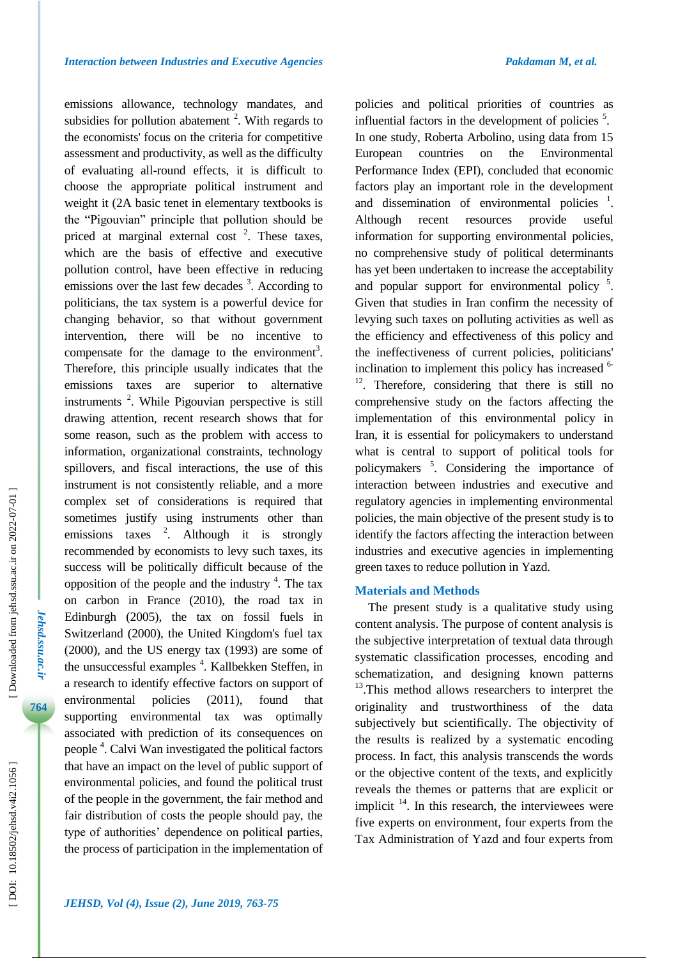emissions allowance, technology mandates, and subsidies for pollution abatement  $2$ . With regards to the economists' focus on the criteria for competitive assessment and productivity, as well as the difficulty of evaluating all -round effects, it is difficult to choose the appropriate political instrument and weight it (2A basic tenet in elementary textbooks is the "Pigouvian" principle that pollution should be priced at marginal external cost<sup>2</sup>. These taxes, which are the basis of effective and executive pollution control, have been effective in reducing emissions over the last few decades <sup>3</sup>. According to politicians, the tax system is a powerful device for changing behavior, so that without government intervention, there will be no incentive to compensate for the damage to the environment<sup>3</sup>. Therefore, this principle usually indicates that the emissions taxes are superior to alternative instruments 2 . While Pigouvian perspective is still drawing attention, recent research shows that for some reason, such as the problem with access to information, organizational constraints, technology spillovers, and fiscal interactions, the use of this instrument is not consistently reliable, and a more complex set of considerations is required that sometimes justify using instruments other than emissions taxes  $2$ . Although it is strongly recommended by economists to levy such taxes, its success will be politically difficult because of the opposition of the people and the industry  $4$ . The tax on carbon in France (2010), the road tax in Edinburgh (2005), the tax on fossil fuels in Switzerland (2000), the United Kingdom's fuel tax (2000), and the US energy tax (1993) are some of the unsuccessful examples 4 . Kallbekken Steffen, in a research to identify effective factors on support of environmental policies (2011), found that supporting environmental tax was optimally associated with prediction of its consequences on people 4 . Calvi Wan investigated the political factors that have an impact on the level of public support of environmental policies, and found the political trust of the people in the government, the fair method and fair distribution of costs the people should pay, the type of authorities' dependence on political parties, the process of participation in the implementation of

policies and political priorities of countries as influential factors in the development of policies<sup>5</sup>. In one study, Roberta Arbolino, using data from 15 European countries on the Environmental Performance Index (EPI), concluded that economic factors play an important role in the development and dissemination of environmental policies <sup>1</sup>. Although recent resources provide useful information for supporting environmental policies, no comprehensive study of political determinants has yet been undertaken to increase the acceptability and popular support for environmental policy<sup>5</sup>. Given that studies in Iran confirm the necessity of levying such taxes on polluting activities as well as the efficiency and effectiveness of this policy and the ineffectiveness of current policies, politicians' inclination to implement this policy has increased <sup>6</sup> <sup>12</sup>. Therefore, considering that there is still no comprehensive study on the factors affecting the implementation of this environmental policy in Iran, it is essential for policymakers to understand what is central to support of political tools for policymakers 5 . Considering the importance of interaction between industries and executive and regulatory agencies in implementing environmental policies, the main objective of the present study is to identify the factors affecting the interaction between industries and executive agencies in implementing green taxes to reduce pollution in Yazd.

#### **Materials and Methods**

The present study is a qualitative study using content analysis. The purpose of content analysis is the subjective interpretation of textual data through systematic classification processes, encoding and schematization, and designing known patterns <sup>13</sup>.This method allows researchers to interpret the originality and trustworthiness of the data subjectively but scientifically. The objectivity of the results is realized by a systematic encoding process. In fact, this analysis transcends the words or the objective content of the texts, and explicitly reveals the themes or patterns that are explicit or implicit  $14$ . In this research, the interviewees were five experts on environment, four experts from the Tax Administration of Yazd and four experts from

*Jehsd.ssu.ac.ir*

Jehsd.ssu.ac.ir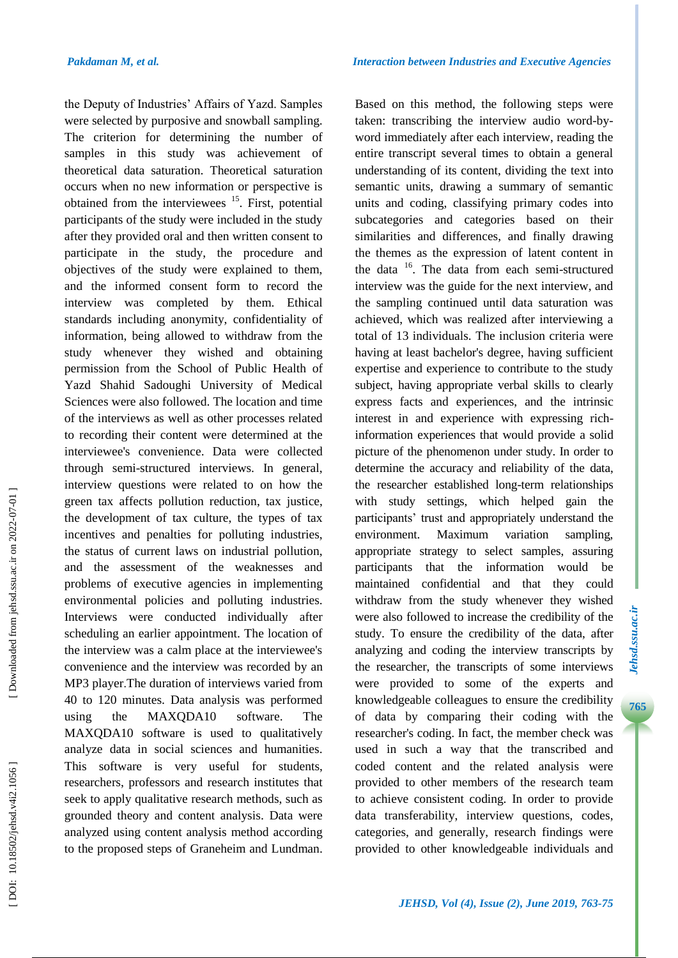the Deputy of Industries' Affairs of Yazd. Samples were selected by purposive and snowball sampling. The criterion for determining the number of samples in this study was achievement of theoretical data saturation. Theoretical saturation occurs when no new information or perspective is obtained from the interviewees  $15$ . First, potential participants of the study were included in the study after they provided oral and then written consent to participate in the study, the procedure and objectives of the study were explained to them, and the informed consent form to record the interview was completed by them. Ethical standards including anonymity, confidentiality of information, being allowed to withdraw from the study whenever they wished and obtaining permission from the School of Public Health of Yazd Shahid Sadoughi University of Medical Sciences were also followed. The location and time of the interviews as well as other processes related to recording their content were determined at the interviewee's convenience. Data were collected through semi -structured interviews. In general, interview questions were related to on how the green tax affects pollution reduction, tax justice, the development of tax culture, the types of tax incentives and penalties for polluting industries, the status of current laws on industrial pollution, and the assessment of the weaknesses and problems of executive agencies in implementing environmental policies and polluting industries. Interviews were conducted individually after scheduling an earlier appointment. The location of the interview was a calm place at the interviewee's convenience and the interview was recorded by an MP3 player .The duration of interviews varied from 40 to 120 minutes. Data analysis was performed using the MAXQDA10 software. The MAXQDA10 software is used to qualitatively analyze data in social sciences and humanities. This software is very useful for students, researchers, professors and research institutes that seek to apply qualitative research methods, such as grounded theory and content analysis. Data were analyzed using content analysis method according to the proposed steps of Graneheim and Lundman.

Based on this method, the following steps were taken: transcribing the interview audio word -by word immediately after each interview, reading the entire transcript several times to obtain a general understanding of its content, dividing the text into semantic units, drawing a summary of semantic units and coding, classifying primary codes into subcategories and categories based on their similarities and differences, and finally drawing the themes as the expression of latent content in the data <sup>16</sup>. The data from each semi-structured interview was the guide for the next interview, and the sampling continued until data saturation was achieved, which was realized after interviewing a total of 13 individuals. The inclusion criteria were having at least bachelor's degree, having sufficient expertise and experience to contribute to the study subject, having appropriate verbal skills to clearly express facts and experiences, and the intrinsic interest in and experience with expressing rich information experiences that would provide a solid picture of the phenomenon under study. In order to determine the accuracy and reliability of the data, the researcher established long -term relationships with study settings, which helped gain the participants' trust and appropriately understand the environment. Maximum variation sampling, appropriate strategy to select samples, assuring participants that the information would be maintained confidential and that they could withdraw from the study whenever they wished were also followed to increase the credibility of the study. To ensure the credibility of the data, after analyzing and coding the interview transcripts by the researcher, the transcripts of some interviews were provided to some of the experts and knowledgeable colleagues to ensure the credibility of data by comparing their coding with the researcher's coding. In fact, the member check was used in such a way that the transcribed and coded content and the related analysis were provided to other members of the research team to achieve consistent coding. In order to provide data transferability, interview questions, codes, categories, and generally, research findings were provided to other knowledgeable individuals and

**7***Jehsd***.***ssu***.***ac***.***i r* **765***Jehsd.ssu.ac.ir*

765

Jehsd.ssu.ac.ir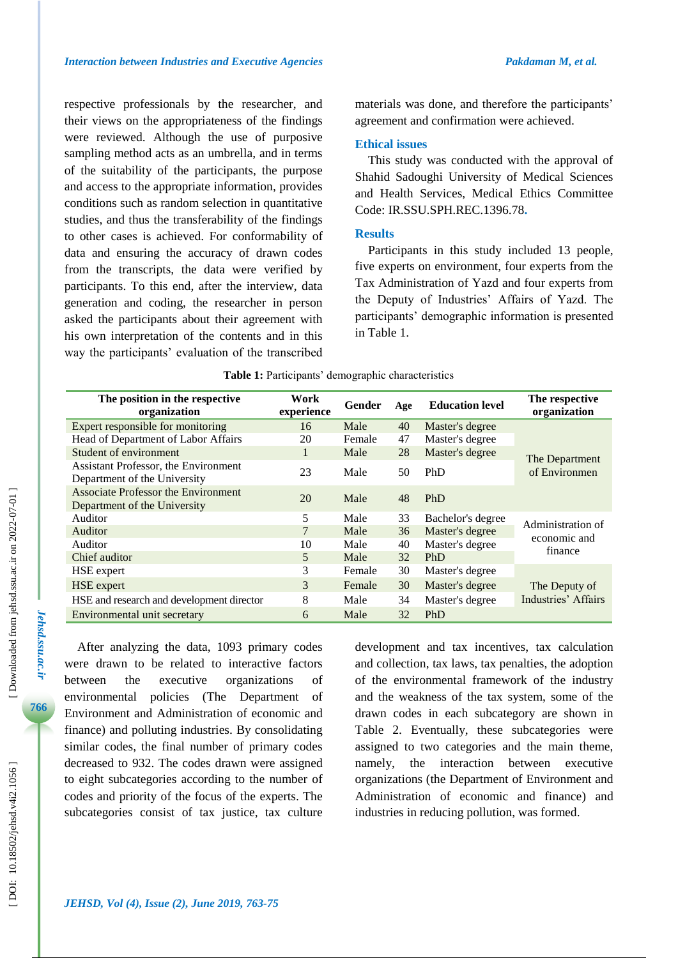respective professionals by the researcher, and their views on the appropriateness of the findings were reviewed. Although the use of purposive sampling method acts as an umbrella, and in terms of the suitability of the participants, the purpose and access to the appropriate information, provides conditions such as random selection in quantitative studies, and thus the transferability of the findings to other cases is achieved. For conformability of data and ensuring the accuracy of drawn codes from the transcripts, the data were verified by participants. To this end, after the interview, data generation and coding, the researcher in person asked the participants about their agreement with his own interpretation of the contents and in this way the participants' evaluation of the transcribed materials was done, and therefore the participants' agreement and confirmation were achieved.

#### **Ethical issues**

This study was conducted with the approval of Shahid Sadoughi University of Medical Sciences and Health Services, Medical Ethics Committee Code: IR.SSU.SPH.REC.1396.78 **.**

#### **Results**

Participants in this study included 13 people, five experts on environment, four experts from the Tax Administration of Yazd and four experts from the Deputy of Industries' Affairs of Yazd. The participants' demographic information is presented in Table 1.

| The position in the respective<br>organization                       | Work<br>experience | Gender | Age | <b>Education level</b> | The respective<br>organization               |  |
|----------------------------------------------------------------------|--------------------|--------|-----|------------------------|----------------------------------------------|--|
| Expert responsible for monitoring                                    | 16                 | Male   | 40  | Master's degree        |                                              |  |
| Head of Department of Labor Affairs                                  | 20                 | Female | 47  | Master's degree        |                                              |  |
| Student of environment                                               | 1                  | Male   | 28  | Master's degree        | The Department<br>of Environmen              |  |
| Assistant Professor, the Environment<br>Department of the University | 23                 | Male   | 50  | <b>PhD</b>             |                                              |  |
| Associate Professor the Environment<br>Department of the University  | 20                 | Male   | 48  | <b>PhD</b>             |                                              |  |
| Auditor                                                              | 5                  | Male   | 33  | Bachelor's degree      | Administration of<br>economic and<br>finance |  |
| Auditor                                                              | 7                  | Male   | 36  | Master's degree        |                                              |  |
| Auditor                                                              | 10                 | Male   | 40  | Master's degree        |                                              |  |
| Chief auditor                                                        | 5                  | Male   | 32  | <b>PhD</b>             |                                              |  |
| HSE expert                                                           | 3                  | Female | 30  | Master's degree        |                                              |  |
| HSE expert                                                           | 3                  | Female | 30  | Master's degree        | The Deputy of                                |  |
| HSE and research and development director                            | 8                  | Male   | 34  | Master's degree        | Industries' Affairs                          |  |
| Environmental unit secretary                                         | 6                  | Male   | 32  | <b>PhD</b>             |                                              |  |

**Table 1 :** Participants' demographic characteristics

After analyzing the data, 1093 primary codes were drawn to be related to interactive factors between the executive organizations of environmental policies ( The Department of Environment and Administration of economic and finance) and polluting industries. By consolidating similar codes, the final number of primary codes decreased to 932. The codes drawn were assigned to eight subcategories according to the number of codes and priority of the focus of the experts. The subcategories consist of tax justice, tax culture

development and tax incentives, tax calculation and collection, tax laws, tax penalties, the adoption of the environmental framework of the industry and the weakness of the tax system, some of the drawn codes in each subcategory are shown in Table 2. Eventually, these subcategories were assigned to two categories and the main theme, namely, the interaction between executive organizations (the Department of Environment and Administration of economic and finance) and industries in reducing pollution, was formed.

*Jehsd.ssu.ac.ir*

Jehsd.ssu.ac.ir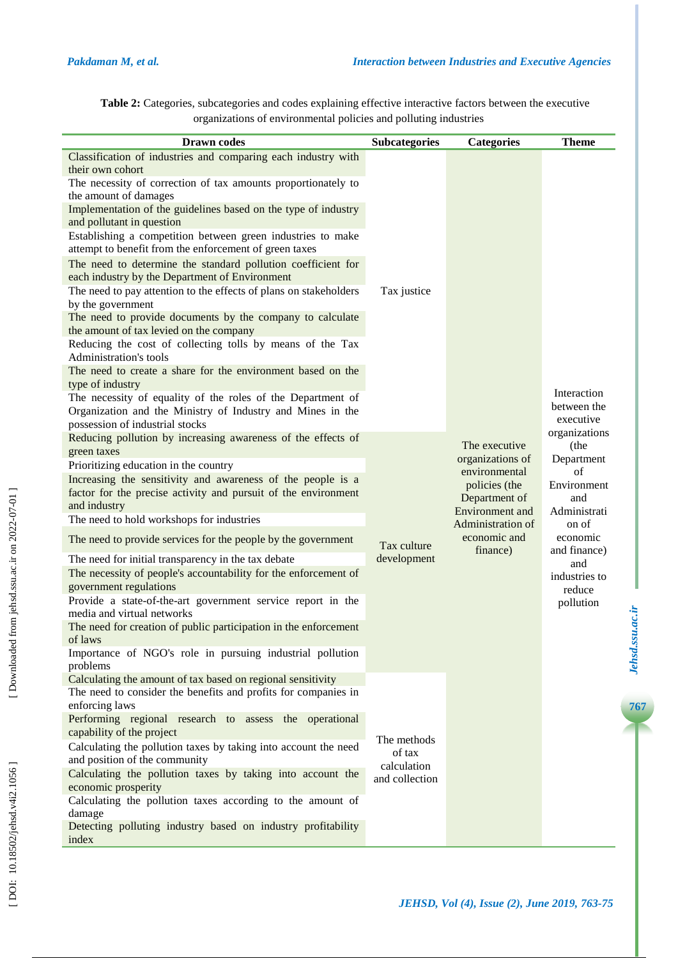| Table 2: Categories, subcategories and codes explaining effective interactive factors between the executive |  |
|-------------------------------------------------------------------------------------------------------------|--|
| organizations of environmental policies and polluting industries                                            |  |

| <b>Drawn</b> codes                                                                                                                                                                                                                                                                                                                                                                                                                                                                                                                                                                                                                                                                                                                                                                                                                                                                                                                                                                                                                                                | <b>Subcategories</b>                                   | <b>Categories</b>                                                                                                                                        | <b>Theme</b>                                                                                                                                                        |
|-------------------------------------------------------------------------------------------------------------------------------------------------------------------------------------------------------------------------------------------------------------------------------------------------------------------------------------------------------------------------------------------------------------------------------------------------------------------------------------------------------------------------------------------------------------------------------------------------------------------------------------------------------------------------------------------------------------------------------------------------------------------------------------------------------------------------------------------------------------------------------------------------------------------------------------------------------------------------------------------------------------------------------------------------------------------|--------------------------------------------------------|----------------------------------------------------------------------------------------------------------------------------------------------------------|---------------------------------------------------------------------------------------------------------------------------------------------------------------------|
| Classification of industries and comparing each industry with<br>their own cohort<br>The necessity of correction of tax amounts proportionately to<br>the amount of damages<br>Implementation of the guidelines based on the type of industry<br>and pollutant in question<br>Establishing a competition between green industries to make<br>attempt to benefit from the enforcement of green taxes<br>The need to determine the standard pollution coefficient for<br>each industry by the Department of Environment<br>The need to pay attention to the effects of plans on stakeholders<br>by the government<br>The need to provide documents by the company to calculate<br>the amount of tax levied on the company<br>Reducing the cost of collecting tolls by means of the Tax<br>Administration's tools<br>The need to create a share for the environment based on the<br>type of industry<br>The necessity of equality of the roles of the Department of<br>Organization and the Ministry of Industry and Mines in the<br>possession of industrial stocks | Tax justice                                            |                                                                                                                                                          | Interaction<br>between the<br>executive                                                                                                                             |
| Reducing pollution by increasing awareness of the effects of<br>green taxes<br>Prioritizing education in the country<br>Increasing the sensitivity and awareness of the people is a<br>factor for the precise activity and pursuit of the environment<br>and industry<br>The need to hold workshops for industries<br>The need to provide services for the people by the government<br>The need for initial transparency in the tax debate<br>The necessity of people's accountability for the enforcement of<br>government regulations<br>Provide a state-of-the-art government service report in the<br>media and virtual networks<br>The need for creation of public participation in the enforcement<br>of laws<br>Importance of NGO's role in pursuing industrial pollution<br>problems                                                                                                                                                                                                                                                                      | Tax culture<br>development                             | The executive<br>organizations of<br>environmental<br>policies (the<br>Department of<br>Environment and<br>Administration of<br>economic and<br>finance) | organizations<br>(the<br>Department<br>of<br>Environment<br>and<br>Administrati<br>on of<br>economic<br>and finance)<br>and<br>industries to<br>reduce<br>pollution |
| Calculating the amount of tax based on regional sensitivity<br>The need to consider the benefits and profits for companies in<br>enforcing laws<br>Performing regional research to assess the operational<br>capability of the project<br>Calculating the pollution taxes by taking into account the need<br>and position of the community<br>Calculating the pollution taxes by taking into account the<br>economic prosperity<br>Calculating the pollution taxes according to the amount of<br>damage<br>Detecting polluting industry based on industry profitability<br>index                                                                                                                                                                                                                                                                                                                                                                                                                                                                                  | The methods<br>of tax<br>calculation<br>and collection |                                                                                                                                                          |                                                                                                                                                                     |

[Downloaded from jehsd.ssu.ac.ir on 2022-07-01]

*JEHSD, Vol (4), Issue (2), June 2019, 763 -75*

**7***Jehsd***.***ssu***.***ac***.***i r* **767***Jehsd.ssu.ac.ir*

 $Jehsd.ssu.ac.it$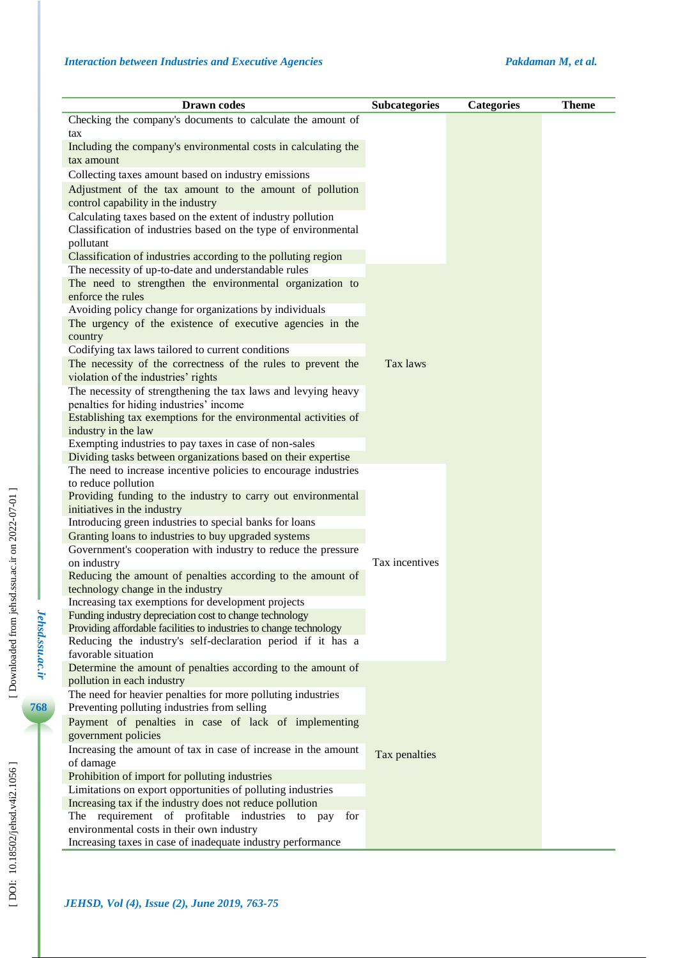| <b>Drawn</b> codes                                                                                           | <b>Subcategories</b> | <b>Categories</b> | <b>Theme</b> |
|--------------------------------------------------------------------------------------------------------------|----------------------|-------------------|--------------|
| Checking the company's documents to calculate the amount of                                                  |                      |                   |              |
| tax                                                                                                          |                      |                   |              |
| Including the company's environmental costs in calculating the                                               |                      |                   |              |
| tax amount                                                                                                   |                      |                   |              |
| Collecting taxes amount based on industry emissions                                                          |                      |                   |              |
| Adjustment of the tax amount to the amount of pollution                                                      |                      |                   |              |
| control capability in the industry                                                                           |                      |                   |              |
| Calculating taxes based on the extent of industry pollution                                                  |                      |                   |              |
| Classification of industries based on the type of environmental                                              |                      |                   |              |
| pollutant                                                                                                    |                      |                   |              |
| Classification of industries according to the polluting region                                               |                      |                   |              |
| The necessity of up-to-date and understandable rules                                                         |                      |                   |              |
| The need to strengthen the environmental organization to                                                     |                      |                   |              |
| enforce the rules                                                                                            |                      |                   |              |
| Avoiding policy change for organizations by individuals                                                      |                      |                   |              |
| The urgency of the existence of executive agencies in the                                                    |                      |                   |              |
| country                                                                                                      |                      |                   |              |
| Codifying tax laws tailored to current conditions                                                            |                      |                   |              |
| The necessity of the correctness of the rules to prevent the                                                 | Tax laws             |                   |              |
| violation of the industries' rights                                                                          |                      |                   |              |
| The necessity of strengthening the tax laws and levying heavy<br>penalties for hiding industries' income     |                      |                   |              |
| Establishing tax exemptions for the environmental activities of                                              |                      |                   |              |
| industry in the law                                                                                          |                      |                   |              |
| Exempting industries to pay taxes in case of non-sales                                                       |                      |                   |              |
| Dividing tasks between organizations based on their expertise                                                |                      |                   |              |
| The need to increase incentive policies to encourage industries                                              |                      |                   |              |
| to reduce pollution                                                                                          |                      |                   |              |
| Providing funding to the industry to carry out environmental                                                 |                      |                   |              |
| initiatives in the industry                                                                                  |                      |                   |              |
| Introducing green industries to special banks for loans                                                      |                      |                   |              |
| Granting loans to industries to buy upgraded systems                                                         |                      |                   |              |
| Government's cooperation with industry to reduce the pressure<br>on industry                                 | Tax incentives       |                   |              |
| Reducing the amount of penalties according to the amount of                                                  |                      |                   |              |
| technology change in the industry                                                                            |                      |                   |              |
| Increasing tax exemptions for development projects                                                           |                      |                   |              |
| Funding industry depreciation cost to change technology                                                      |                      |                   |              |
| Providing affordable facilities to industries to change technology                                           |                      |                   |              |
| Reducing the industry's self-declaration period if it has a                                                  |                      |                   |              |
| favorable situation                                                                                          |                      |                   |              |
| Determine the amount of penalties according to the amount of                                                 |                      |                   |              |
| pollution in each industry                                                                                   |                      |                   |              |
| The need for heavier penalties for more polluting industries<br>Preventing polluting industries from selling |                      |                   |              |
| Payment of penalties in case of lack of implementing                                                         |                      |                   |              |
| government policies                                                                                          |                      |                   |              |
| Increasing the amount of tax in case of increase in the amount                                               |                      |                   |              |
| of damage                                                                                                    | Tax penalties        |                   |              |
| Prohibition of import for polluting industries                                                               |                      |                   |              |
| Limitations on export opportunities of polluting industries                                                  |                      |                   |              |
| Increasing tax if the industry does not reduce pollution                                                     |                      |                   |              |
| The requirement of profitable industries to pay for                                                          |                      |                   |              |
| environmental costs in their own industry                                                                    |                      |                   |              |
| Increasing taxes in case of inadequate industry performance                                                  |                      |                   |              |

*Jehsd.ssu.ac.ir*

Jehsd.ssu.ac.ir

**768**

r. ×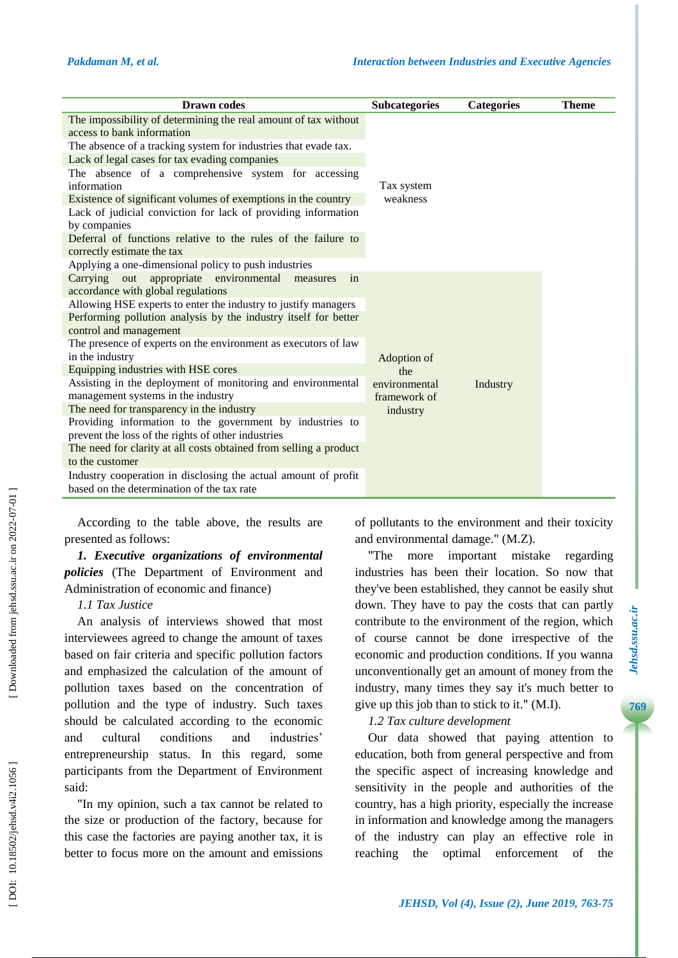| <b>Drawn</b> codes                                                 | <b>Subcategories</b> | <b>Categories</b> | <b>Theme</b> |
|--------------------------------------------------------------------|----------------------|-------------------|--------------|
| The impossibility of determining the real amount of tax without    |                      |                   |              |
| access to bank information                                         |                      |                   |              |
| The absence of a tracking system for industries that evade tax.    |                      |                   |              |
| Lack of legal cases for tax evading companies                      |                      |                   |              |
| The absence of a comprehensive system for accessing<br>information | Tax system           |                   |              |
| Existence of significant volumes of exemptions in the country      | weakness             |                   |              |
| Lack of judicial conviction for lack of providing information      |                      |                   |              |
| by companies                                                       |                      |                   |              |
| Deferral of functions relative to the rules of the failure to      |                      |                   |              |
| correctly estimate the tax                                         |                      |                   |              |
| Applying a one-dimensional policy to push industries               |                      |                   |              |
| Carrying out appropriate environmental<br>in<br>measures           |                      |                   |              |
| accordance with global regulations                                 |                      |                   |              |
| Allowing HSE experts to enter the industry to justify managers     |                      |                   |              |
| Performing pollution analysis by the industry itself for better    |                      |                   |              |
| control and management                                             |                      |                   |              |
| The presence of experts on the environment as executors of law     |                      |                   |              |
| in the industry                                                    | Adoption of          |                   |              |
| Equipping industries with HSE cores                                | the                  |                   |              |
| Assisting in the deployment of monitoring and environmental        | environmental        | Industry          |              |
| management systems in the industry                                 | framework of         |                   |              |
| The need for transparency in the industry                          | industry             |                   |              |
| Providing information to the government by industries to           |                      |                   |              |
| prevent the loss of the rights of other industries                 |                      |                   |              |
| The need for clarity at all costs obtained from selling a product  |                      |                   |              |
| to the customer                                                    |                      |                   |              |
| Industry cooperation in disclosing the actual amount of profit     |                      |                   |              |
| based on the determination of the tax rate                         |                      |                   |              |
|                                                                    |                      |                   |              |

According to the table above, the results are presented as follows:

*1. Executive organizations of environmental policies* ( The Department of Environment and Administration of economic and finance )

# *1.1 Tax Justice*

An analysis of interviews showed that most interviewees agreed to change the amount of taxes based on fair criteria and specific pollution factors and emphasized the calculation of the amount of pollution taxes based on the concentration of pollution and the type of industry. Such taxes should be calculated according to the economic and cultural conditions and industries' entrepreneurship status. In this regard, some participant s from the Department of Environment said:

"In my opinion, such a tax cannot be related to the size or production of the factory, because for this case the factories are paying another tax, it is better to focus more on the amount and emissions of pollutants to the environment and their toxicity and environmental damage . " (M .Z).

"The more important mistake regarding industries has been their location. So now that they've been established, they cannot be easily shut down. They have to pay the costs that can partly contribute to the environment of the region, which of course cannot be done irrespective of the economic and production conditions. If you wanna unconventionally get an amount of money from the industry, many times they say it's much better to give up this job than to stick to it. " (M .I) .

## *1.2 Tax culture development*

Our data showed that paying attention to education, both from general perspective and from the specific aspect of increasing knowledge and sensitivity in the people and authorities of the country, has a high priority, especially the increase in information and knowledge among the managers of the industry can play an effective role in reaching the optimal enforcement of the

769

Downloaded from jehsd.ssu.ac.ir on 2022-07-01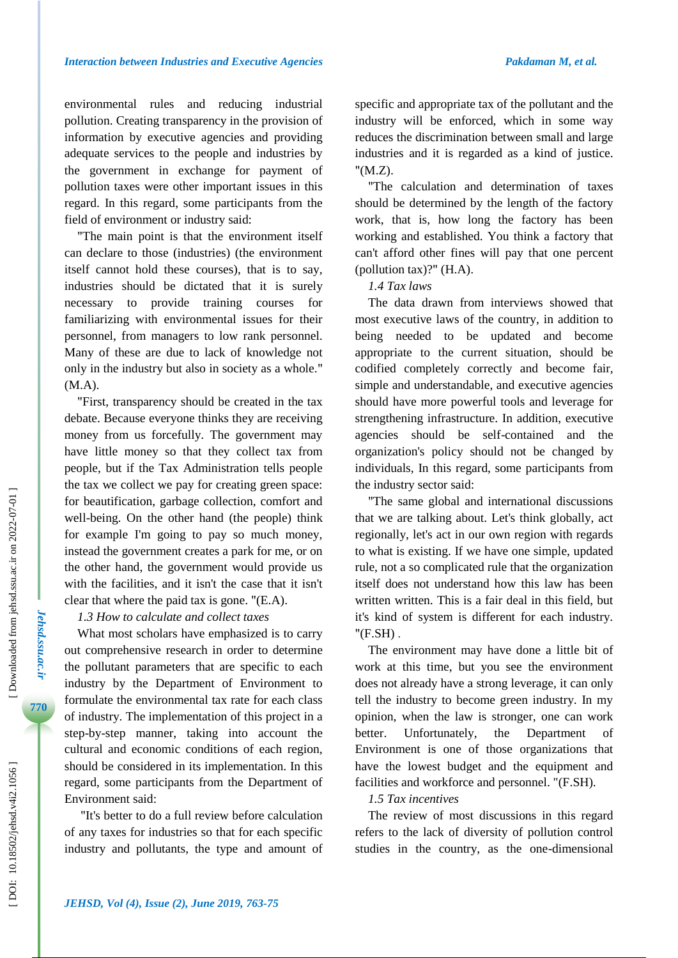environmental rules and reducing industrial pollution. Creating transparency in the provision of information by executive agencies and providing adequate services to the people and industries by the government in exchange for payment of pollution taxes were other important issues in this regard. In this regard, some participants from the field of environment or industry said:

"The main point is that the environment itself can declare to those (industries) (the environment itself cannot hold these courses), that is to say, industries should be dictated that it is surely necessary to provide training courses for familiarizing with environmental issues for their personnel, from managers to low rank personnel. Many of these are due to lack of knowledge not only in the industry but also in society as a whole. " (M .A) .

"First, transparency should be created in the tax debate. Because everyone thinks they are receiving money from us forcefully. The government may have little money so that they collect tax from people, but if the Tax Administration tells people the tax we collect we pay for creating green space: for beautification, garbage collection, comfort and well -being. On the other hand (the people) think for example I'm going to pay so much money, instead the government creates a park for me, or on the other hand, the government would provide us with the facilities, and it isn't the case that it isn't clear that where the paid tax is gone. "(E.A).

# *1.3 How to calculate and collect taxes*

What most scholars have emphasized is to carry out comprehensive research in order to determine the pollutant parameters that are specific to each industry by the Department of Environment to formulate the environmental tax rate for each class of industry. The implementation of this project in a step -by -step manner, taking into account the cultural and economic conditions of each region, should be considered in its implementation. In this regard, some participants from the Department of Environment said:

"It's better to do a full review before calculation of any taxes for industries so that for each specific industry and pollutants, the type and amount of specific and appropriate tax of the pollutant and the industry will be enforced, which in some way reduces the discrimination between small and large industries and it is regarded as a kind of justice. "(M.Z).

"The calculation and determination of taxes should be determined by the length of the factory work, that is, how long the factory has been working and established. You think a factory that can't afford other fines will pay that one percent (pollution tax)? " (H .A) .

## *1.4 Tax laws*

The data drawn from interviews showed that most executive laws of the country, in addition to being needed to be updated and become appropriate to the current situation, should be codified completely correctly and become fair, simple and understandable, and executive agencies should have more powerful tools and leverage for strengthening infrastructure. In addition, executive agencies should be self -contained and the organization's policy should not be changed by individuals, In this regard, some participants from the industry sector said:

"The same global and international discussions that we are talking about. Let's think globally, act regionally, let's act in our own region with regards to what is existing. If we have one simple, updated rule, not a so complicated rule that the organization itself does not understand how this law has been written written. This is a fair deal in this field, but it's kind of system is different for each industry. "(F.SH) .

The environment may have done a little bit of work at this time, but you see the environment does not already have a strong leverage, it can only tell the industry to become green industry. In my opinion, when the law is stronger, one can work better. Unfortunately, the Department of Environment is one of those organizations that have the lowest budget and the equipment and facilities and workforce and personnel. "(F.SH).

# *1.5 Tax incentives*

The review of most discussions in this regard refers to the lack of diversity of pollution control studies in the country, as the one -dimensional

*Jehsd.ssu.ac.ir*

Jehsd.ssu.ac.ir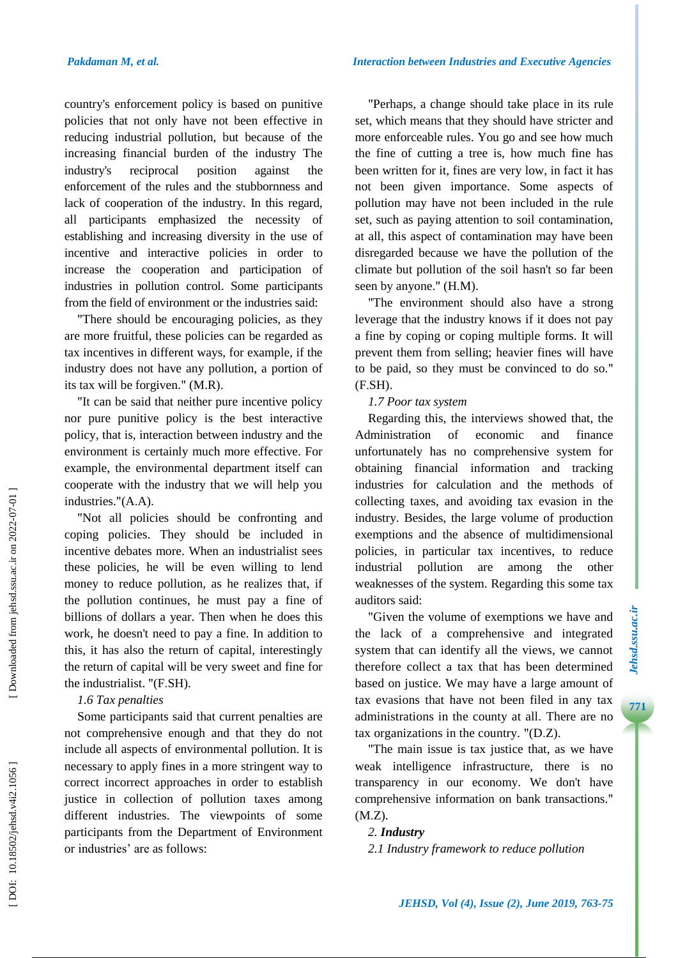*Interaction between Industries and Executive Agencies*

country's enforcement policy is based on punitive policies that not only have not been effective in reducing industrial pollution, but because of the increasing financial burden of the industry The industry's reciprocal position against the enforcement of the rules and the stubbornness and lack of cooperation of the industry. In this regard, all participants emphasized the necessity of establishing and increasing diversity in the use of incentive and interactive policies in order to increase the cooperation and participation of industries in pollution control. Some participants from the field of environment or the industries said:

"There should be encouraging policies, as they are more fruitful, these policies can be regarded as tax incentives in different ways, for example, if the industry does not have any pollution, a portion of its tax will be forgiven. " (M .R) .

"It can be said that neither pure incentive policy nor pure punitive policy is the best interactive policy, that is, interaction between industry and the environment is certainly much more effective. For example, the environmental department itself can cooperate with the industry that we will help you industries."(A.A).

"Not all policies should be confronting and coping policies. They should be included in incentive debates more. When an industrialist sees these policies, he will be even willing to lend money to reduce pollution, as he realizes that, if the pollution continues, he must pay a fine of billions of dollars a year. Then when he does this work, he doesn't need to pay a fine. In addition to this, it has also the return of capital, interestingly the return of capital will be very sweet and fine for the industrialist. "(F.SH).

## *1.6 Tax penalties*

Some participants said that current penalties are not comprehensive enough and that they do not include all aspects of environmental pollution. It is necessary to apply fines in a more stringent way to correct incorrect approaches in order to establish justice in collection of pollution taxes among different industries. The viewpoints of some participants from the Department of Environment or industries' are as follows:

"Perhaps, a change should take place in its rule set, which means that they should have stricter and more enforceable rules. You go and see how much the fine of cutting a tree is, how much fine has been written for it, fines are very low, in fact it has not been given importance. Some aspects of pollution may have not been included in the rule set, such as paying attention to soil contamination, at all, this aspect of contamination may have been disregarded because we have the pollution of the climate but pollution of the soil hasn't so far been seen by anyone." (H.M).

"The environment should also have a strong leverage that the industry knows if it does not pay a fine by coping or coping multiple forms. It will prevent them from selling; heavier fines will have to be paid, so they must be convinced to do so. " (F . S H ) .

#### *1.7 Poor tax system*

Regarding this, the interviews showed that, the Administration of economic and finance unfortunately has no comprehensive system for obtaining financial information and tracking industries for calculation and the methods of collecting taxes, and avoiding tax evasion in the industry. Besides, the large volume of production exemptions and the absence of multidimensional policies, in particular tax incentives, to reduce industrial pollution are among the other weaknesses of the system . Regarding this some tax auditors said:

"Given the volume of exemptions we have and the lack of a comprehensive and integrated system that can identify all the views, we cannot therefore collect a tax that has been determined based on justice. We may have a large amount of tax evasions that have not been filed in any tax administrations in the county at all. There are no tax organizations in the country. "(D.Z).

"The main issue is tax justice that, as we have weak intelligence infrastructure, there is no transparency in our economy. We don't have comprehensive information on bank transactions. " (M .Z) .

## *2. Industry*

*2.1 Industry framework to reduce pollution*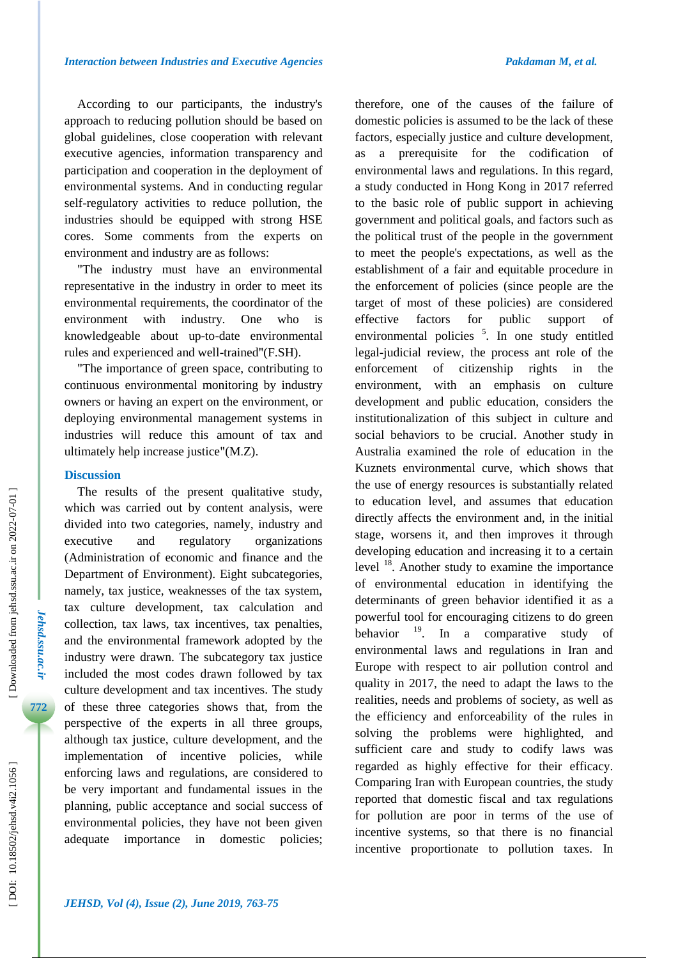According to our participants, the industry's approach to reducing pollution should be based on global guidelines, close cooperation with relevant executive agencies, information transparency and participation and cooperation in the deployment of environmental systems. And in conducting regular self-regulatory activities to reduce pollution, the industries should be equipped with strong HSE cores. Some comments from the experts on environment and industry are as follows:

"The industry must have an environmental representative in the industry in order to meet its environmental requirements, the coordinator of the environment with industry. One who is knowledgeable about up -to -date environmental rules and experienced and well -trained "(F . S H).

"The importance of green space, contributing to continuous environmental monitoring by industry owners or having an expert on the environment, or deploying environmental management systems in industries will reduce this amount of tax and ultimately help increase justice "(M .Z).

#### **Discussion**

The results of the present qualitative study, which was carried out by content analysis, were divided into two categories, namely, industry and executive and regulatory organizations (Administration of economic and finance and the Department of Environment). Eight subcategories, namely, tax justice, weaknesses of the tax system, tax culture development, tax calculation and collection, tax laws, tax incentives, tax penalties, and the environmental framework adopted by the industry were drawn. The subcategory tax justice included the most codes drawn followed by tax culture development and tax incentives. The study of these three categories shows that, from the perspective of the experts in all three groups, although tax justice, culture development, and the implementation of incentive policies, while enforcing laws and regulations, are considered to be very important and fundamental issues in the planning, public acceptance and social success of environmental policies, they have not been given adequate importance in domestic policies; therefore, one of the causes of the failure of domestic policies is assumed to be the lack of these factors, especially justice and culture development, as a prerequisite for the codification of environmental laws and regulations. In this regard, a study conducted in Hong Kong in 2017 referred to the basic role of public support in achieving government and political goals, and factors such as the political trust of the people in the government to meet the people's expectations, as well as the establishment of a fair and equitable procedure in the enforcement of policies (since people are the target of most of these policies) are considered effective factors for public support of environmental policies <sup>5</sup>. In one study entitled legal -judicial review, the process ant role of the enforcement of citizenship rights in the environment, with an emphasis on culture development and public education, considers the institutionalization of this subject in culture and social behaviors to be crucial. Another study in Australia examined the role of education in the Kuznets environmental curve, which shows that the use of energy resources is substantially related to education level, and assumes that education directly affects the environment and, in the initial stage, worsens it, and then improves it through developing education and increasing it to a certain level <sup>18</sup>. Another study to examine the importance of environmental education in identifying the determinants of green behavior identified it as a powerful tool for encouraging citizens to do green behavior <sup>19</sup>. In a comparative study of environmental laws and regulations in Iran and Europe with respect to air pollution control and quality in 2017, the need to adapt the laws to the realities, needs and problems of society, as well as the efficiency and enforceability of the rules in solving the problems were highlighted, and sufficient care and study to codify laws was regarded as highly effective for their efficacy. Comparing Iran with European countries, the study reported that domestic fiscal and tax regulations for pollution are poor in terms of the use of incentive systems, so that there is no financial incentive proportionate to pollution taxes. In

*Jehsd.ssu.ac.ir*

Jehsd.ssu.ac.ii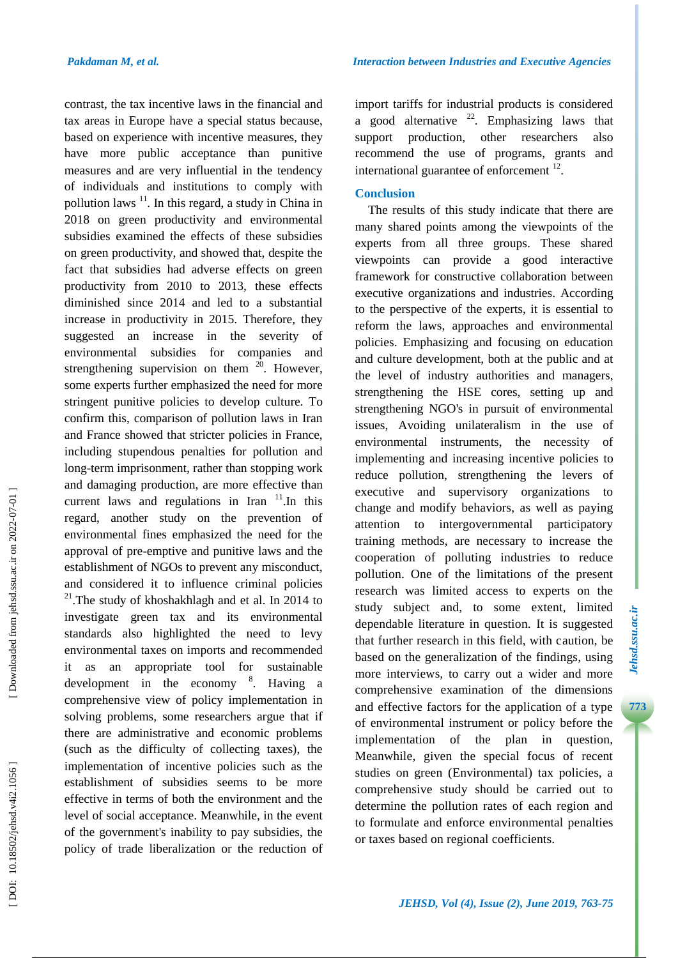contrast, the tax incentive laws in the financial and tax areas in Europe have a special status because, based on experience with incentive measures, they have more public acceptance than punitive measures and are very influential in the tendency of individuals and institutions to comply with pollution laws <sup>11</sup>. In this regard, a study in China in 2018 on green productivity and environmental subsidies examined the effects of these subsidies on green productivity, and showed that, despite the fact that subsidies had adverse effects on green productivity from 2010 to 2013, these effects diminished since 2014 and led to a substantial increase in productivity in 2015. Therefore, they suggested an increase in the severity of environmental subsidies for companies and strengthening supervision on them  $20$ . However, some experts further emphasized the need for more stringent punitive policies to develop culture. To confirm this, comparison of pollution laws in Iran and France showed that stricter policies in France, including stupendous penalties for pollution and long -term imprisonment, rather than stopping work and damaging production, are more effective than current laws and regulations in Iran  $11$ . In this regard, another study on the prevention of environmental fines emphasized the need for the approval of pre -emptive and punitive laws and the establishment of NGOs to prevent any misconduct, and considered it to influence criminal policies  $21$ . The study of khoshakhlagh and et al. In 2014 to investigate green tax and its environmental standards also highlighted the need to levy environmental taxes on imports and recommended it as an appropriate tool for sustainable development in the economy 8 . Having a comprehensive view of policy implementation in solving problems, some researchers argue that if there are administrative and economic problems (such as the difficulty of collecting taxes), the implementation of incentive policies such as the establishment of subsidies seems to be more effective in terms of both the environment and the level of social acceptance. Meanwhile, in the event of the government's inability to pay subsidies, the policy of trade liberalization or the reduction of

import tariffs for industrial products is considered a good alternative  $2^2$ . Emphasizing laws that support production, other researchers also recommend the use of programs, grants and international guarantee of enforcement  $12$ .

## **Conclusion**

The results of this study indicate that there are many shared points among the viewpoints of the experts from all three groups. These shared viewpoints can provide a good interactive framework for constructive collaboration between executive organizations and industries. According to the perspective of the experts, it is essential to reform the laws, approaches and environmental policies. Emphasizing and focusing on education and culture development, both at the public and at the level of industry authorities and managers, strengthening the HSE cores, setting up and strengthening NGO's in pursuit of environmental issues, Avoiding unilateralism in the use of environmental instruments, the necessity of implementing and increasing incentive policies to reduce pollution, strengthening the levers of executive and supervisory organizations to change and modify behaviors, as well as paying attention to intergovernmental participatory training methods, are necessary to increase the cooperation of polluting industries to reduce pollution. One of the limitations of the present research was limited access to experts on the study subject and, to some extent, limited dependable literature in question. It is suggested that further research in this field, with caution, be based on the generalization of the findings, using more interviews, to carry out a wider and more comprehensive examination of the dimensions and effective factors for the application of a type of environmental instrument or policy before the implementation of the plan in question, Meanwhile, given the special focus of recent studies on green ( Environmental) tax policies, a comprehensive study should be carried out to determine the pollution rates of each region and to formulate and enforce environmental penalties or taxes based on regional coefficients.

Downloaded from jehsd.ssu.ac.ir on 2022-07-01]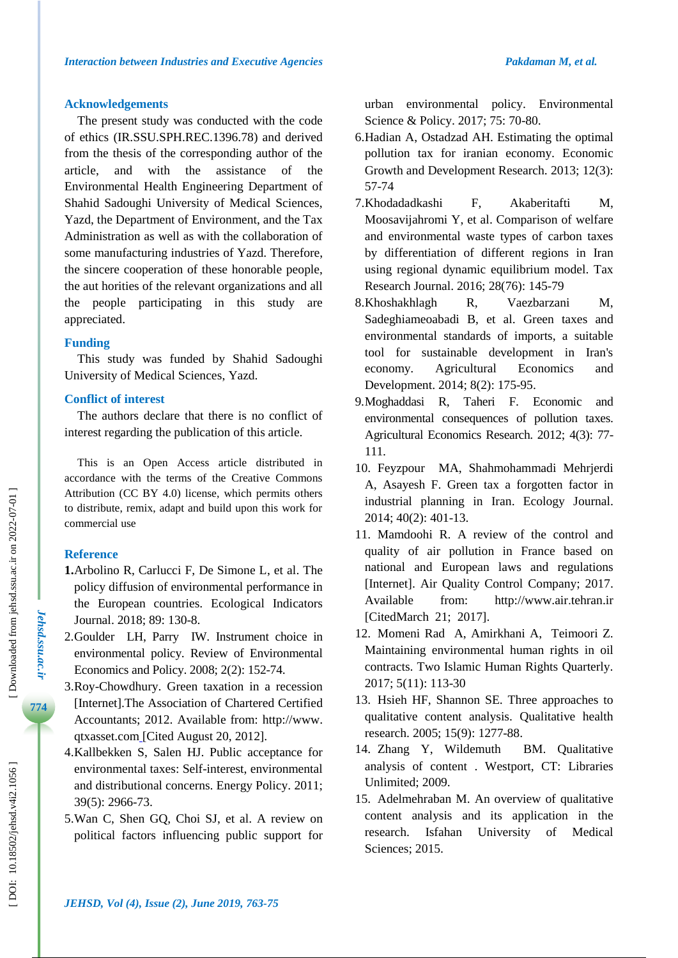## **Acknowledgements**

The present study was conducted with the code of ethics (IR.SSU.SPH.REC.1396.78) and derived from the thesis of the corresponding author of the article, and with the assistance of the Environmental Health Engineering Department of Shahid Sadoughi University of Medical Sciences, Yazd, the Department of Environment, and the Tax Administration as well as with the collaboration of some manufacturing industries of Yazd. Therefore, the sincere cooperation of these honorable people, the aut horities of the relevant organizations and all the people participating in this study are appreciated.

# **Funding**

This study was funded by Shahid Sadoughi University of Medical Sciences, Yazd.

# **Conflict of interest**

The authors declare that there is no conflict of interest regarding the publication of this article.

This is an Open Access article distributed in accordance with the terms of the Creative Commons Attribution (CC BY 4.0) license, which permits others to distribute, remix, adapt and build upon this work for commercial use

# **Reference**

- **1.**Arbolino R, Carlucci F, De Simone L , et al. The policy diffusion of environmental performance in the European countries. Ecological Indicators Journal . 2018; 89: 130 -8.
- 2 .Goulder LH, Parry IW. Instrument choice in environmental policy. Review of Environmental Economics and Policy. 2008; 2(2): 152 -74.
- 3 .Roy -Chowdhury. Green taxation in a recession [Internet].The Association of Chartered Certified Accountants; 2012. Available from: http://www. qtxasset.com [ Cited August 20, 2012].
- 4 .Kallbekken S, S alen HJ. Public acceptance for environmental taxes: Self-interest, environmental and distributional concerns. Energy Policy. 2011; 39(5): 2966 -73.
- 5 . Wan C, Shen GQ, Choi SJ, et al. A review on political factors influencing public support for

urban environmental policy. Environmental Science & Policy. 2017; 75: 70-80.

- 6 .Hadian A, Ostadzad AH. Estimating the optimal pollution tax for iranian economy. Economic Growth and Development Research. 2013; 12(3): 57 -74
- 7 .Khodadadkashi F, Akaberitafti M, Moosavijahromi Y, et al. Comparison of welfare and environmental waste types of carbon taxes by differentiation of different regions in Iran using regional dynamic equilibrium model. Tax Research Journal. 2016; 28(76) : 145 -79
- 8 .Khoshakhlagh R, Vaezbarzani M, Sadeghiameoabadi B , et a l. Green taxes and environmental standards of imports, a suitable tool for sustainable development in Iran's economy. Agricultural Economics and Development. 2014; 8(2): 175 -95.
- 9 .Moghaddasi R, Taheri F. Economic and environmental consequences of pollution taxes. Agricultural Economics Research. 2012; 4(3): 77 - 111.
- 10 . Feyzpour MA, Shahmohammadi Mehrjerdi A, Asayesh F. Green tax a forgotten factor in industrial planning in Iran . Ecology Journal. 2014; 40(2): 401 -13.
- 11 . Mamdoohi R. A review of the control and quality of air pollution in France based on national and European laws and regulations [Internet] . Air Quality Control Company; 2017. Available from: http://www.air .tehran.ir [CitedMarch 21; 2017].
- 12 . Momeni Rad A, Amirkhani A, Teimoori Z. Maintaining environmental human rights in oil contracts. Two Islamic Human Rights Quarterly. 2017; 5(11) : 113 -30
- 13 . Hsieh HF, Shannon SE. Three approaches to qualitative content analysis. Qualitative health research. 2005; 15(9): 1277 -88.
- 14 . Zhang Y BM. Qualitative analysis of content . Westport, CT: Libraries Unlimited ; 2009 .
- 15 . Adelmehraban M. An overview of qualitative content analysis and its application in the research. Isfahan University of Medical Sciences; 2015.

*Jehsd.ssu.ac.ir*

Jehsd.ssu.ac.ir